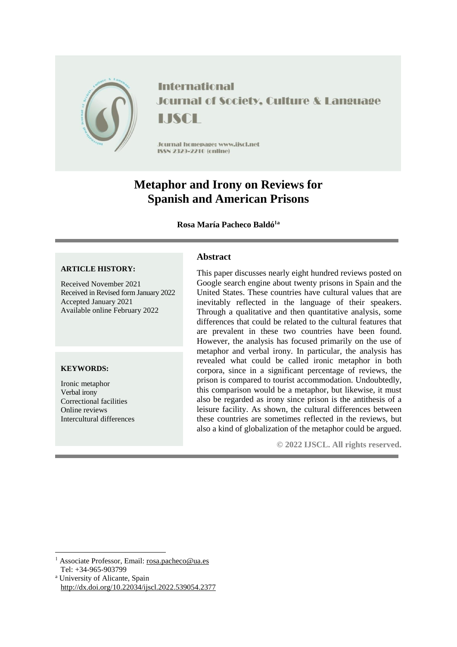

**International Journal of Society, Culture & Language** LISCH

Jcurnal homepage: www.jiscl.net ISSN 2329-2210 (cnline)

# **Metaphor and Irony on Reviews for Spanish and American Prisons**

## **Rosa María Pacheco Baldó1a**

## **ARTICLE HISTORY:**

Received November 2021 Received in Revised form January 2022 Accepted January 2021 Available online February 2022

#### **KEYWORDS:**

**.** 

Ironic metaphor Verbal irony Correctional facilities Online reviews Intercultural differences

## **Abstract**

This paper discusses nearly eight hundred reviews posted on Google search engine about twenty prisons in Spain and the United States. These countries have cultural values that are inevitably reflected in the language of their speakers. Through a qualitative and then quantitative analysis, some differences that could be related to the cultural features that are prevalent in these two countries have been found. However, the analysis has focused primarily on the use of metaphor and verbal irony. In particular, the analysis has revealed what could be called ironic metaphor in both corpora, since in a significant percentage of reviews, the prison is compared to tourist accommodation. Undoubtedly, this comparison would be a metaphor, but likewise, it must also be regarded as irony since prison is the antithesis of a leisure facility. As shown, the cultural differences between these countries are sometimes reflected in the reviews, but also a kind of globalization of the metaphor could be argued.

**© 2022 IJSCL. All rights reserved.**

<sup>1</sup> Associate Professor, Email: [rosa.pacheco@ua.es](mailto:rosa.pacheco@ua.es) Tel: +34-965-903799

<sup>a</sup> University of Alicante, Spain <http://dx.doi.org/10.22034/ijscl.2022.539054.2377>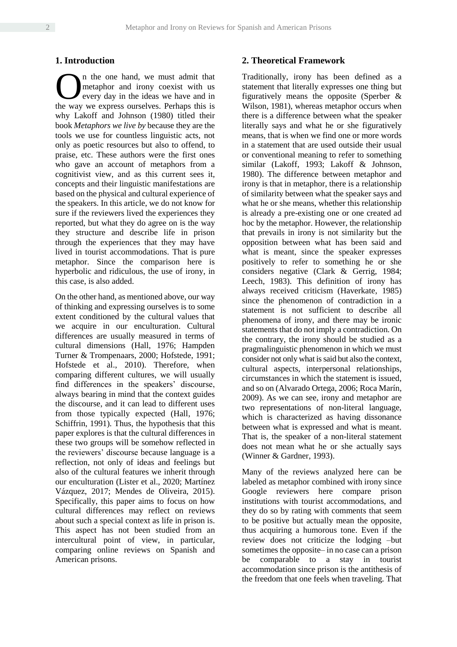#### **1. Introduction**

n the one hand, we must admit that metaphor and irony coexist with us every day in the ideas we have and in **O** in the one hand, we must admit that metaphor and irony coexist with us every day in the ideas we have and in the way we express ourselves. Perhaps this is why Lakoff and Johnson (1980) titled their book *Metaphors we live by* because they are the tools we use for countless linguistic acts, not only as poetic resources but also to offend, to praise, etc. These authors were the first ones who gave an account of metaphors from a cognitivist view, and as this current sees it, concepts and their linguistic manifestations are based on the physical and cultural experience of the speakers. In this article, we do not know for sure if the reviewers lived the experiences they reported, but what they do agree on is the way they structure and describe life in prison through the experiences that they may have lived in tourist accommodations. That is pure metaphor. Since the comparison here is hyperbolic and ridiculous, the use of irony, in this case, is also added.

On the other hand, as mentioned above, our way of thinking and expressing ourselves is to some extent conditioned by the cultural values that we acquire in our enculturation. Cultural differences are usually measured in terms of cultural dimensions (Hall, 1976; Hampden Turner & Trompenaars, 2000; Hofstede, 1991; Hofstede et al., 2010). Therefore, when comparing different cultures, we will usually find differences in the speakers' discourse, always bearing in mind that the context guides the discourse, and it can lead to different uses from those typically expected (Hall, 1976; Schiffrin, 1991). Thus, the hypothesis that this paper explores is that the cultural differences in these two groups will be somehow reflected in the reviewers' discourse because language is a reflection, not only of ideas and feelings but also of the cultural features we inherit through our enculturation (Lister et al., 2020; Martínez Vázquez, 2017; Mendes de Oliveira, 2015). Specifically, this paper aims to focus on how cultural differences may reflect on reviews about such a special context as life in prison is. This aspect has not been studied from an intercultural point of view, in particular, comparing online reviews on Spanish and American prisons.

## **2. Theoretical Framework**

Traditionally, irony has been defined as a statement that literally expresses one thing but figuratively means the opposite (Sperber & Wilson, 1981), whereas metaphor occurs when there is a difference between what the speaker literally says and what he or she figuratively means, that is when we find one or more words in a statement that are used outside their usual or conventional meaning to refer to something similar (Lakoff, 1993; Lakoff & Johnson, 1980). The difference between metaphor and irony is that in metaphor, there is a relationship of similarity between what the speaker says and what he or she means, whether this relationship is already a pre-existing one or one created ad hoc by the metaphor. However, the relationship that prevails in irony is not similarity but the opposition between what has been said and what is meant, since the speaker expresses positively to refer to something he or she considers negative (Clark & Gerrig, 1984; Leech, 1983). This definition of irony has always received criticism (Haverkate, 1985) since the phenomenon of contradiction in a statement is not sufficient to describe all phenomena of irony, and there may be ironic statements that do not imply a contradiction. On the contrary, the irony should be studied as a pragmalinguistic phenomenon in which we must consider not only what is said but also the context, cultural aspects, interpersonal relationships, circumstances in which the statement is issued, and so on (Alvarado Ortega, 2006; Roca Marín, 2009). As we can see, irony and metaphor are two representations of non-literal language, which is characterized as having dissonance between what is expressed and what is meant. That is, the speaker of a non-literal statement does not mean what he or she actually says (Winner & Gardner, 1993).

Many of the reviews analyzed here can be labeled as metaphor combined with irony since Google reviewers here compare prison institutions with tourist accommodations, and they do so by rating with comments that seem to be positive but actually mean the opposite, thus acquiring a humorous tone. Even if the review does not criticize the lodging -but sometimes the opposite— in no case can a prison be comparable to a stay in tourist accommodation since prison is the antithesis of the freedom that one feels when traveling. That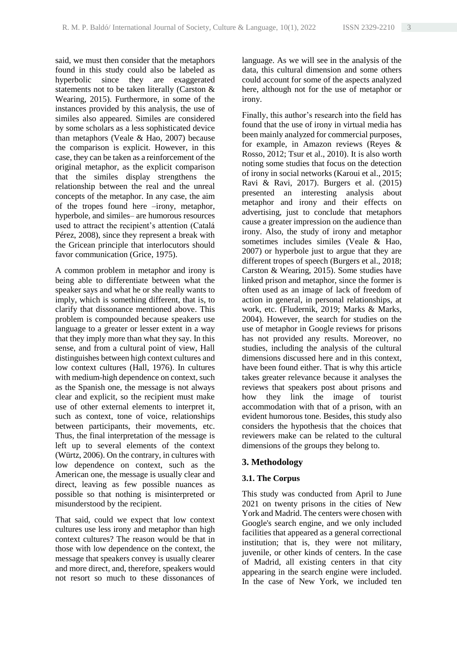said, we must then consider that the metaphors found in this study could also be labeled as hyperbolic since they are exaggerated statements not to be taken literally (Carston & Wearing, 2015). Furthermore, in some of the instances provided by this analysis, the use of similes also appeared. Similes are considered by some scholars as a less sophisticated device than metaphors (Veale & Hao, 2007) because the comparison is explicit. However, in this case, they can be taken as a reinforcement of the original metaphor, as the explicit comparison that the similes display strengthens the relationship between the real and the unreal concepts of the metaphor. In any case, the aim of the tropes found here  $-$ irony, metaphor, hyperbole, and similes— are humorous resources used to attract the recipient's attention (Catalá Pérez, 2008), since they represent a break with the Gricean principle that interlocutors should favor communication (Grice, 1975).

A common problem in metaphor and irony is being able to differentiate between what the speaker says and what he or she really wants to imply, which is something different, that is, to clarify that dissonance mentioned above. This problem is compounded because speakers use language to a greater or lesser extent in a way that they imply more than what they say. In this sense, and from a cultural point of view, Hall distinguishes between high context cultures and low context cultures (Hall, 1976). In cultures with medium-high dependence on context, such as the Spanish one, the message is not always clear and explicit, so the recipient must make use of other external elements to interpret it, such as context, tone of voice, relationships between participants, their movements, etc. Thus, the final interpretation of the message is left up to several elements of the context (Würtz, 2006). On the contrary, in cultures with low dependence on context, such as the American one, the message is usually clear and direct, leaving as few possible nuances as possible so that nothing is misinterpreted or misunderstood by the recipient.

That said, could we expect that low context cultures use less irony and metaphor than high context cultures? The reason would be that in those with low dependence on the context, the message that speakers convey is usually clearer and more direct, and, therefore, speakers would not resort so much to these dissonances of

language. As we will see in the analysis of the data, this cultural dimension and some others could account for some of the aspects analyzed here, although not for the use of metaphor or irony.

Finally, this author's research into the field has found that the use of irony in virtual media has been mainly analyzed for commercial purposes, for example, in Amazon reviews (Reyes & Rosso, 2012; Tsur et al., 2010). It is also worth noting some studies that focus on the detection of irony in social networks (Karoui et al., 2015; Ravi & Ravi, 2017). Burgers et al. (2015) presented an interesting analysis about metaphor and irony and their effects on advertising, just to conclude that metaphors cause a greater impression on the audience than irony. Also, the study of irony and metaphor sometimes includes similes (Veale & Hao, 2007) or hyperbole just to argue that they are different tropes of speech (Burgers et al., 2018; Carston & Wearing, 2015). Some studies have linked prison and metaphor, since the former is often used as an image of lack of freedom of action in general, in personal relationships, at work, etc. (Fludernik, 2019; Marks & Marks, 2004). However, the search for studies on the use of metaphor in Google reviews for prisons has not provided any results. Moreover, no studies, including the analysis of the cultural dimensions discussed here and in this context, have been found either. That is why this article takes greater relevance because it analyses the reviews that speakers post about prisons and how they link the image of tourist accommodation with that of a prison, with an evident humorous tone. Besides, this study also considers the hypothesis that the choices that reviewers make can be related to the cultural dimensions of the groups they belong to.

# **3. Methodology**

# **3.1. The Corpus**

This study was conducted from April to June 2021 on twenty prisons in the cities of New York and Madrid. The centers were chosen with Google's search engine, and we only included facilities that appeared as a general correctional institution; that is, they were not military, juvenile, or other kinds of centers. In the case of Madrid, all existing centers in that city appearing in the search engine were included. In the case of New York, we included ten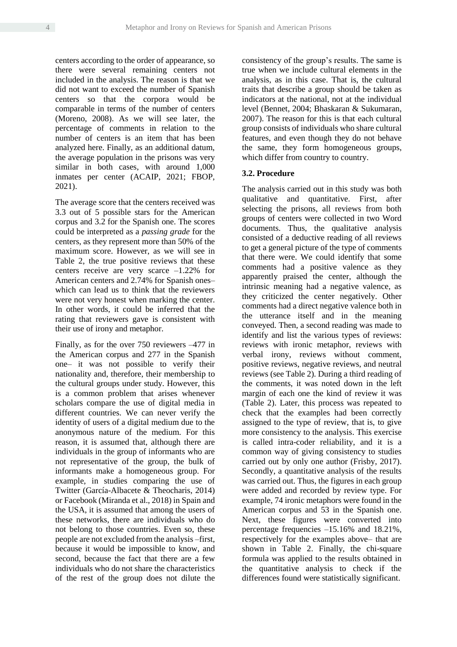centers according to the order of appearance, so there were several remaining centers not included in the analysis. The reason is that we did not want to exceed the number of Spanish centers so that the corpora would be comparable in terms of the number of centers (Moreno, 2008). As we will see later, the percentage of comments in relation to the number of centers is an item that has been analyzed here. Finally, as an additional datum, the average population in the prisons was very similar in both cases, with around 1,000 inmates per center (ACAIP, 2021; FBOP, 2021).

The average score that the centers received was 3.3 out of 5 possible stars for the American corpus and 3.2 for the Spanish one. The scores could be interpreted as a *passing grade* for the centers, as they represent more than 50% of the maximum score. However, as we will see in Table 2, the true positive reviews that these centers receive are very scarce  $-1.22\%$  for American centers and 2.74% for Spanish oneswhich can lead us to think that the reviewers were not very honest when marking the center. In other words, it could be inferred that the rating that reviewers gave is consistent with their use of irony and metaphor.

Finally, as for the over  $750$  reviewers  $-477$  in the American corpus and 277 in the Spanish one‒ it was not possible to verify their nationality and, therefore, their membership to the cultural groups under study. However, this is a common problem that arises whenever scholars compare the use of digital media in different countries. We can never verify the identity of users of a digital medium due to the anonymous nature of the medium. For this reason, it is assumed that, although there are individuals in the group of informants who are not representative of the group, the bulk of informants make a homogeneous group. For example, in studies comparing the use of Twitter (García-Albacete & Theocharis, 2014) or Facebook (Miranda et al., 2018) in Spain and the USA, it is assumed that among the users of these networks, there are individuals who do not belong to those countries. Even so, these people are not excluded from the analysis –first, because it would be impossible to know, and second, because the fact that there are a few individuals who do not share the characteristics of the rest of the group does not dilute the consistency of the group's results. The same is true when we include cultural elements in the analysis, as in this case. That is, the cultural traits that describe a group should be taken as indicators at the national, not at the individual level (Bennet, 2004; Bhaskaran & Sukumaran, 2007). The reason for this is that each cultural group consists of individuals who share cultural features, and even though they do not behave the same, they form homogeneous groups, which differ from country to country.

#### **3.2. Procedure**

The analysis carried out in this study was both qualitative and quantitative. First, after selecting the prisons, all reviews from both groups of centers were collected in two Word documents. Thus, the qualitative analysis consisted of a deductive reading of all reviews to get a general picture of the type of comments that there were. We could identify that some comments had a positive valence as they apparently praised the center, although the intrinsic meaning had a negative valence, as they criticized the center negatively. Other comments had a direct negative valence both in the utterance itself and in the meaning conveyed. Then, a second reading was made to identify and list the various types of reviews: reviews with ironic metaphor, reviews with verbal irony, reviews without comment, positive reviews, negative reviews, and neutral reviews (see Table 2). During a third reading of the comments, it was noted down in the left margin of each one the kind of review it was (Table 2). Later, this process was repeated to check that the examples had been correctly assigned to the type of review, that is, to give more consistency to the analysis. This exercise is called intra-coder reliability, and it is a common way of giving consistency to studies carried out by only one author (Frisby, 2017). Secondly, a quantitative analysis of the results was carried out. Thus, the figures in each group were added and recorded by review type. For example, 74 ironic metaphors were found in the American corpus and 53 in the Spanish one. Next, these figures were converted into percentage frequencies ‒15.16% and 18.21%, respectively for the examples above– that are shown in Table 2. Finally, the chi-square formula was applied to the results obtained in the quantitative analysis to check if the differences found were statistically significant.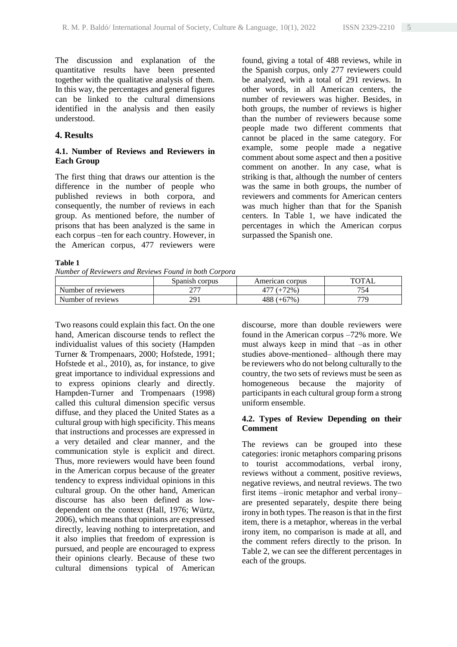The discussion and explanation of the quantitative results have been presented together with the qualitative analysis of them. In this way, the percentages and general figures can be linked to the cultural dimensions identified in the analysis and then easily understood.

## **4. Results**

## **4.1. Number of Reviews and Reviewers in Each Group**

The first thing that draws our attention is the difference in the number of people who published reviews in both corpora, and consequently, the number of reviews in each group. As mentioned before, the number of prisons that has been analyzed is the same in each corpus –ten for each country. However, in the American corpus, 477 reviewers were

#### **Table 1**

*Number of Reviewers and Reviews Found in both Corpora*

found, giving a total of 488 reviews, while in the Spanish corpus, only 277 reviewers could be analyzed, with a total of 291 reviews. In other words, in all American centers, the number of reviewers was higher. Besides, in both groups, the number of reviews is higher than the number of reviewers because some people made two different comments that cannot be placed in the same category. For example, some people made a negative comment about some aspect and then a positive comment on another. In any case, what is striking is that, although the number of centers was the same in both groups, the number of reviewers and comments for American centers was much higher than that for the Spanish centers. In Table 1, we have indicated the percentages in which the American corpus surpassed the Spanish one.

|                     | Spanish corpus | American corpus | TOTAL |
|---------------------|----------------|-----------------|-------|
| Number of reviewers | ריר            | $177 (+72\%)$   | 754   |
| Number of reviews   | 291            | $488 (+67%)$    | 779   |

Two reasons could explain this fact. On the one hand, American discourse tends to reflect the individualist values of this society (Hampden Turner & Trompenaars, 2000; Hofstede, 1991; Hofstede et al., 2010), as, for instance, to give great importance to individual expressions and to express opinions clearly and directly. Hampden-Turner and Trompenaars (1998) called this cultural dimension specific versus diffuse, and they placed the United States as a cultural group with high specificity. This means that instructions and processes are expressed in a very detailed and clear manner, and the communication style is explicit and direct. Thus, more reviewers would have been found in the American corpus because of the greater tendency to express individual opinions in this cultural group. On the other hand, American discourse has also been defined as lowdependent on the context (Hall, 1976; Würtz, 2006), which means that opinions are expressed directly, leaving nothing to interpretation, and it also implies that freedom of expression is pursued, and people are encouraged to express their opinions clearly. Because of these two cultural dimensions typical of American discourse, more than double reviewers were found in the American corpus –72% more. We must always keep in mind that  $-\text{as}$  in other studies above-mentioned- although there may be reviewers who do not belong culturally to the country, the two sets of reviews must be seen as homogeneous because the majority of participants in each cultural group form a strong uniform ensemble.

## **4.2. Types of Review Depending on their Comment**

The reviews can be grouped into these categories: ironic metaphors comparing prisons to tourist accommodations, verbal irony, reviews without a comment, positive reviews, negative reviews, and neutral reviews. The two first items –ironic metaphor and verbal irony– are presented separately, despite there being irony in both types. The reason is that in the first item, there is a metaphor, whereas in the verbal irony item, no comparison is made at all, and the comment refers directly to the prison. In Table 2, we can see the different percentages in each of the groups.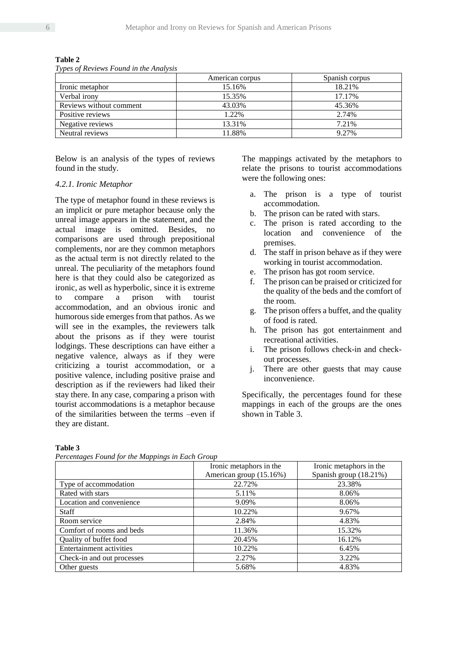|                         | American corpus | Spanish corpus |
|-------------------------|-----------------|----------------|
| Ironic metaphor         | 15.16%          | 18.21%         |
| Verbal irony            | 15.35%          | 17.17%         |
| Reviews without comment | 43.03%          | 45.36%         |
| Positive reviews        | 1.22%           | 2.74%          |
| Negative reviews        | 13.31%          | 7.21%          |
| Neutral reviews         | 11.88%          | 9.27%          |

**Table 2**

*Types of Reviews Found in the Analysis*

Below is an analysis of the types of reviews found in the study.

#### *4.2.1. Ironic Metaphor*

The type of metaphor found in these reviews is an implicit or pure metaphor because only the unreal image appears in the statement, and the actual image is omitted. Besides, no comparisons are used through prepositional complements, nor are they common metaphors as the actual term is not directly related to the unreal. The peculiarity of the metaphors found here is that they could also be categorized as ironic, as well as hyperbolic, since it is extreme to compare a prison with tourist accommodation, and an obvious ironic and humorous side emerges from that pathos. As we will see in the examples, the reviewers talk about the prisons as if they were tourist lodgings. These descriptions can have either a negative valence, always as if they were criticizing a tourist accommodation, or a positive valence, including positive praise and description as if the reviewers had liked their stay there. In any case, comparing a prison with tourist accommodations is a metaphor because of the similarities between the terms ‒even if they are distant.

The mappings activated by the metaphors to relate the prisons to tourist accommodations were the following ones:

- a. The prison is a type of tourist accommodation.
- b. The prison can be rated with stars.
- c. The prison is rated according to the location and convenience of the premises.
- d. The staff in prison behave as if they were working in tourist accommodation.
- e. The prison has got room service.
- f. The prison can be praised or criticized for the quality of the beds and the comfort of the room.
- g. The prison offers a buffet, and the quality of food is rated.
- h. The prison has got entertainment and recreational activities.
- i. The prison follows check-in and checkout processes.
- j. There are other guests that may cause inconvenience.

Specifically, the percentages found for these mappings in each of the groups are the ones shown in Table 3.

#### **Table 3**

*Percentages Found for the Mappings in Each Group*

|                                 | Ironic metaphors in the | Ironic metaphors in the |  |
|---------------------------------|-------------------------|-------------------------|--|
|                                 | American group (15.16%) | Spanish group (18.21%)  |  |
| Type of accommodation           | 22.72%                  | 23.38%                  |  |
| Rated with stars                | 5.11%                   | 8.06%                   |  |
| Location and convenience        | 9.09%                   | 8.06%                   |  |
| <b>Staff</b>                    | 10.22%                  | 9.67%                   |  |
| Room service                    | 2.84%                   | 4.83%                   |  |
| Comfort of rooms and beds       | 11.36%                  | 15.32%                  |  |
| Quality of buffet food          | 20.45%                  | 16.12%                  |  |
| <b>Entertainment activities</b> | 10.22%                  | 6.45%                   |  |
| Check-in and out processes      | 2.27%                   | 3.22%                   |  |
| Other guests                    | 5.68%                   | 4.83%                   |  |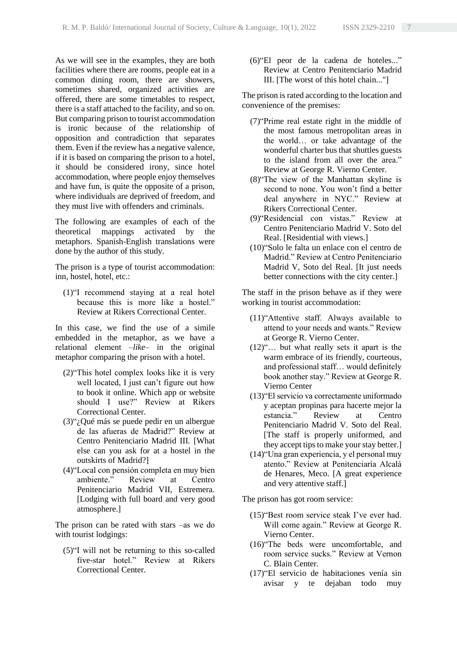As we will see in the examples, they are both facilities where there are rooms, people eat in a common dining room, there are showers, sometimes shared, organized activities are offered, there are some timetables to respect, there is a staff attached to the facility, and so on. But comparing prison to tourist accommodation is ironic because of the relationship of opposition and contradiction that separates them. Even if the review has a negative valence, if it is based on comparing the prison to a hotel, it should be considered irony, since hotel accommodation, where people enjoy themselves and have fun, is quite the opposite of a prison, where individuals are deprived of freedom, and they must live with offenders and criminals.

The following are examples of each of the theoretical mappings activated by the metaphors. Spanish-English translations were done by the author of this study.

The prison is a type of tourist accommodation: inn, hostel, hotel, etc.:

(1)"I recommend staying at a real hotel because this is more like a hostel." Review at Rikers Correctional Center.

In this case, we find the use of a simile embedded in the metaphor, as we have a relational element  $-like-$  in the original metaphor comparing the prison with a hotel.

- (2)"This hotel complex looks like it is very well located, I just can't figure out how to book it online. Which app or website should I use?" Review at Rikers Correctional Center.
- (3)"¿Qué más se puede pedir en un albergue de las afueras de Madrid?" Review at Centro Penitenciario Madrid III. [What else can you ask for at a hostel in the outskirts of Madrid?]
- (4)"Local con pensión completa en muy bien ambiente." Review at Centro Penitenciario Madrid VII, Estremera. [Lodging with full board and very good atmosphere.]

The prison can be rated with stars  $-\text{as we do}$ with tourist lodgings:

(5)"I will not be returning to this so-called five-star hotel." Review at Rikers Correctional Center.

(6)"El peor de la cadena de hoteles..." Review at Centro Penitenciario Madrid III. [The worst of this hotel chain..."]

The prison is rated according to the location and convenience of the premises:

- (7)"Prime real estate right in the middle of the most famous metropolitan areas in the world… or take advantage of the wonderful charter bus that shuttles guests to the island from all over the area." Review at George R. Vierno Center.
- (8)"The view of the Manhattan skyline is second to none. You won't find a better deal anywhere in NYC." Review at Rikers Correctional Center.
- (9)"Residencial con vistas." Review at Centro Penitenciario Madrid V. Soto del Real. [Residential with views.]
- (10)"Solo le falta un enlace con el centro de Madrid." Review at Centro Penitenciario Madrid V, Soto del Real. [It just needs better connections with the city center.]

The staff in the prison behave as if they were working in tourist accommodation:

- (11)"Attentive staff. Always available to attend to your needs and wants." Review at George R. Vierno Center.
- (12)"… but what really sets it apart is the warm embrace of its friendly, courteous, and professional staff… would definitely book another stay." Review at George R. Vierno Center
- (13)"El servicio va correctamente uniformado y aceptan propinas para hacerte mejor la estancia." Review at Centro Penitenciario Madrid V. Soto del Real. [The staff is properly uniformed, and they accept tips to make your stay better.]
- (14)"Una gran experiencia, y el personal muy atento." Review at Penitenciaría Alcalá de Henares, Meco. [A great experience and very attentive staff.]

The prison has got room service:

- (15)"Best room service steak I've ever had. Will come again." Review at George R. Vierno Center.
- (16)"The beds were uncomfortable, and room service sucks." Review at Vernon C. Blain Center.
- (17)"El servicio de habitaciones venía sin avisar y te dejaban todo muy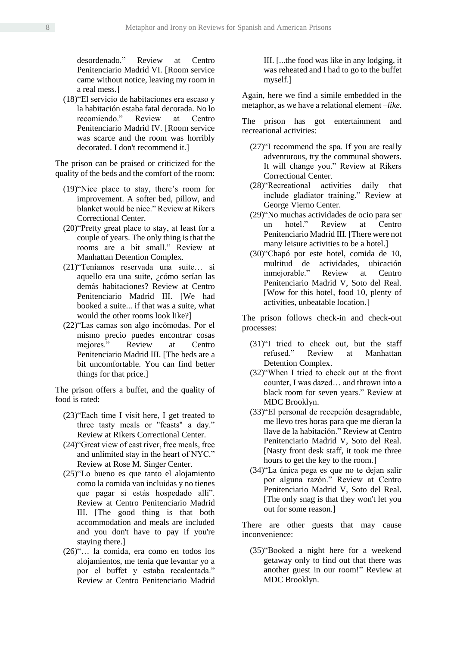desordenado." Review at Centro Penitenciario Madrid VI. [Room service came without notice, leaving my room in a real mess.]

(18)"El servicio de habitaciones era escaso y la habitación estaba fatal decorada. No lo recomiendo." Review at Centro Penitenciario Madrid IV. [Room service was scarce and the room was horribly decorated. I don't recommend it.]

The prison can be praised or criticized for the quality of the beds and the comfort of the room:

- (19)"Nice place to stay, there's room for improvement. A softer bed, pillow, and blanket would be nice." Review at Rikers Correctional Center.
- (20)"Pretty great place to stay, at least for a couple of years. The only thing is that the rooms are a bit small." Review at Manhattan Detention Complex.
- (21)"Teníamos reservada una suite… si aquello era una suite, ¿cómo serían las demás habitaciones? Review at Centro Penitenciario Madrid III. [We had booked a suite... if that was a suite, what would the other rooms look like?]
- (22)"Las camas son algo incómodas. Por el mismo precio puedes encontrar cosas mejores." Review at Centro Penitenciario Madrid III. [The beds are a bit uncomfortable. You can find better things for that price.]

The prison offers a buffet, and the quality of food is rated:

- (23)"Each time I visit here, I get treated to three tasty meals or "feasts" a day." Review at Rikers Correctional Center.
- (24)"Great view of east river, free meals, free and unlimited stay in the heart of NYC." Review at Rose M. Singer Center.
- (25)"Lo bueno es que tanto el alojamiento como la comida van incluidas y no tienes que pagar si estás hospedado allí". Review at Centro Penitenciario Madrid III. [The good thing is that both accommodation and meals are included and you don't have to pay if you're staying there.]
- (26)"… la comida, era como en todos los alojamientos, me tenía que levantar yo a por el buffet y estaba recalentada." Review at Centro Penitenciario Madrid

III. [...the food was like in any lodging, it was reheated and I had to go to the buffet myself.]

Again, here we find a simile embedded in the metaphor, as we have a relational element –*like*.

The prison has got entertainment and recreational activities:

- (27)"I recommend the spa. If you are really adventurous, try the communal showers. It will change you." Review at Rikers Correctional Center.
- (28)"Recreational activities daily that include gladiator training." Review at George Vierno Center.
- (29)"No muchas actividades de ocio para ser un hotel." Review at Centro Penitenciario Madrid III. [There were not many leisure activities to be a hotel.]
- (30)"Chapó por este hotel, comida de 10, multitud de actividades, ubicación inmejorable." Review at Centro Penitenciario Madrid V, Soto del Real. [Wow for this hotel, food 10, plenty of activities, unbeatable location.]

The prison follows check-in and check-out processes:

- (31)"I tried to check out, but the staff refused." Review at Manhattan Detention Complex.
- (32)"When I tried to check out at the front counter, I was dazed… and thrown into a black room for seven years." Review at MDC Brooklyn.
- (33)"El personal de recepción desagradable, me llevo tres horas para que me dieran la llave de la habitación." Review at Centro Penitenciario Madrid V, Soto del Real. [Nasty front desk staff, it took me three hours to get the key to the room.]
- (34)"La única pega es que no te dejan salir por alguna razón." Review at Centro Penitenciario Madrid V, Soto del Real. [The only snag is that they won't let you out for some reason.]

There are other guests that may cause inconvenience:

(35)"Booked a night here for a weekend getaway only to find out that there was another guest in our room!" Review at MDC Brooklyn.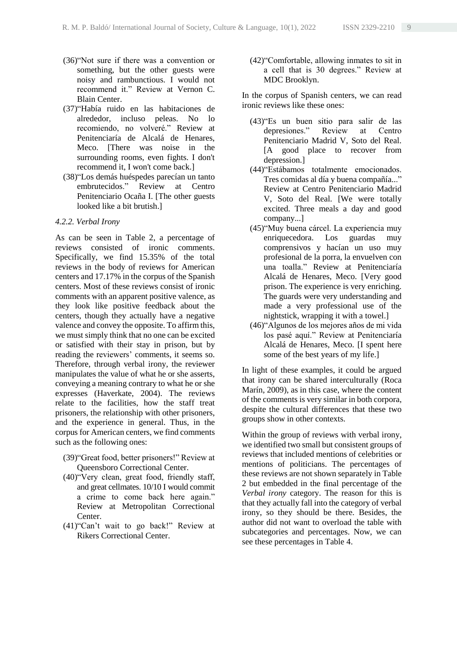- (36)"Not sure if there was a convention or something, but the other guests were noisy and rambunctious. I would not recommend it." Review at Vernon C. Blain Center.
- (37)"Había ruido en las habitaciones de alrededor, incluso peleas. No lo recomiendo, no volveré." Review at Penitenciaría de Alcalá de Henares, Meco. [There was noise in the surrounding rooms, even fights. I don't recommend it, I won't come back.]
- (38)"Los demás huéspedes parecían un tanto embrutecidos." Review at Centro Penitenciario Ocaña I. [The other guests looked like a bit brutish.]

#### *4.2.2. Verbal Irony*

As can be seen in Table 2, a percentage of reviews consisted of ironic comments. Specifically, we find 15.35% of the total reviews in the body of reviews for American centers and 17.17% in the corpus of the Spanish centers. Most of these reviews consist of ironic comments with an apparent positive valence, as they look like positive feedback about the centers, though they actually have a negative valence and convey the opposite. To affirm this, we must simply think that no one can be excited or satisfied with their stay in prison, but by reading the reviewers' comments, it seems so. Therefore, through verbal irony, the reviewer manipulates the value of what he or she asserts, conveying a meaning contrary to what he or she expresses (Haverkate, 2004). The reviews relate to the facilities, how the staff treat prisoners, the relationship with other prisoners, and the experience in general. Thus, in the corpus for American centers, we find comments such as the following ones:

- (39)"Great food, better prisoners!" Review at Queensboro Correctional Center.
- (40)"Very clean, great food, friendly staff, and great cellmates. 10/10 I would commit a crime to come back here again." Review at Metropolitan Correctional Center.
- (41)"Can't wait to go back!" Review at Rikers Correctional Center.

(42)"Comfortable, allowing inmates to sit in a cell that is 30 degrees." Review at MDC Brooklyn.

In the corpus of Spanish centers, we can read ironic reviews like these ones:

- (43)"Es un buen sitio para salir de las depresiones." Review at Centro Penitenciario Madrid V, Soto del Real. [A good place to recover from depression.]
- (44)"Estábamos totalmente emocionados. Tres comidas al día y buena compañía..." Review at Centro Penitenciario Madrid V, Soto del Real. [We were totally excited. Three meals a day and good company...]
- (45)"Muy buena cárcel. La experiencia muy enriquecedora. Los guardas muy comprensivos y hacían un uso muy profesional de la porra, la envuelven con una toalla." Review at Penitenciaría Alcalá de Henares, Meco. [Very good prison. The experience is very enriching. The guards were very understanding and made a very professional use of the nightstick, wrapping it with a towel.]
- (46)"Algunos de los mejores años de mi vida los pasé aquí." Review at Penitenciaría Alcalá de Henares, Meco. [I spent here some of the best years of my life.]

In light of these examples, it could be argued that irony can be shared interculturally (Roca Marín, 2009), as in this case, where the content of the comments is very similar in both corpora, despite the cultural differences that these two groups show in other contexts.

Within the group of reviews with verbal irony, we identified two small but consistent groups of reviews that included mentions of celebrities or mentions of politicians. The percentages of these reviews are not shown separately in Table 2 but embedded in the final percentage of the *Verbal irony* category. The reason for this is that they actually fall into the category of verbal irony, so they should be there. Besides, the author did not want to overload the table with subcategories and percentages. Now, we can see these percentages in Table 4.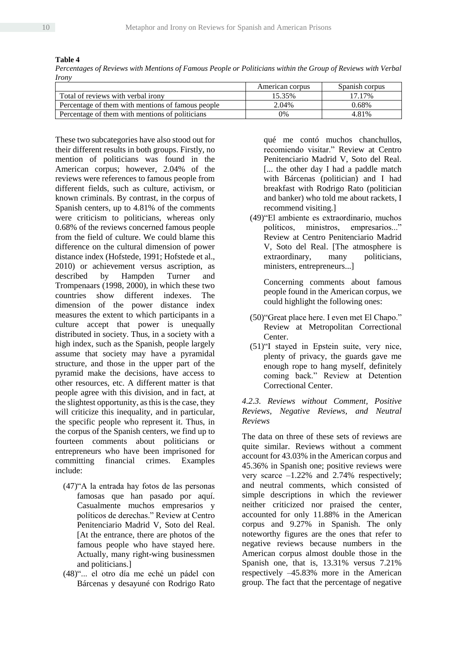**Table 4**

*Percentages of Reviews with Mentions of Famous People or Politicians within the Group of Reviews with Verbal Irony*

|                                                   | American corpus | Spanish corpus |
|---------------------------------------------------|-----------------|----------------|
| Total of reviews with verbal irony                | 15.35%          | 17.17%         |
| Percentage of them with mentions of famous people | 2.04%           | 0.68%          |
| Percentage of them with mentions of politicians   | $0\%$           | 4 8 1 %        |

These two subcategories have also stood out for their different results in both groups. Firstly, no mention of politicians was found in the American corpus; however, 2.04% of the reviews were references to famous people from different fields, such as culture, activism, or known criminals. By contrast, in the corpus of Spanish centers, up to 4.81% of the comments were criticism to politicians, whereas only 0.68% of the reviews concerned famous people from the field of culture. We could blame this difference on the cultural dimension of power distance index (Hofstede, 1991; Hofstede et al., 2010) or achievement versus ascription, as described by Hampden Turner and Trompenaars (1998, 2000), in which these two countries show different indexes. The dimension of the power distance index measures the extent to which participants in a culture accept that power is unequally distributed in society. Thus, in a society with a high index, such as the Spanish, people largely assume that society may have a pyramidal structure, and those in the upper part of the pyramid make the decisions, have access to other resources, etc. A different matter is that people agree with this division, and in fact, at the slightest opportunity, as this is the case, they will criticize this inequality, and in particular, the specific people who represent it. Thus, in the corpus of the Spanish centers, we find up to fourteen comments about politicians or entrepreneurs who have been imprisoned for committing financial crimes. Examples include:

- (47)"A la entrada hay fotos de las personas famosas que han pasado por aquí. Casualmente muchos empresarios y políticos de derechas." Review at Centro Penitenciario Madrid V, Soto del Real. [At the entrance, there are photos of the famous people who have stayed here. Actually, many right-wing businessmen and politicians.]
- (48)"... el otro día me eché un pádel con Bárcenas y desayuné con Rodrigo Rato

qué me contó muchos chanchullos, recomiendo visitar." Review at Centro Penitenciario Madrid V, Soto del Real. [... the other day I had a paddle match with Bárcenas (politician) and I had breakfast with Rodrigo Rato (politician and banker) who told me about rackets, I recommend visiting.]

(49)"El ambiente es extraordinario, muchos políticos, ministros, empresarios..." Review at Centro Penitenciario Madrid V, Soto del Real. [The atmosphere is extraordinary, many politicians, ministers, entrepreneurs...]

Concerning comments about famous people found in the American corpus, we could highlight the following ones:

- (50)"Great place here. I even met El Chapo." Review at Metropolitan Correctional Center.
- (51)"I stayed in Epstein suite, very nice, plenty of privacy, the guards gave me enough rope to hang myself, definitely coming back." Review at Detention Correctional Center.

# *4.2.3. Reviews without Comment, Positive Reviews, Negative Reviews, and Neutral Reviews*

The data on three of these sets of reviews are quite similar. Reviews without a comment account for 43.03% in the American corpus and 45.36% in Spanish one; positive reviews were very scarce  $-1.22\%$  and 2.74% respectively; and neutral comments, which consisted of simple descriptions in which the reviewer neither criticized nor praised the center, accounted for only 11.88% in the American corpus and 9.27% in Spanish. The only noteworthy figures are the ones that refer to negative reviews because numbers in the American corpus almost double those in the Spanish one, that is, 13.31% versus 7.21% respectively ‒45.83% more in the American group. The fact that the percentage of negative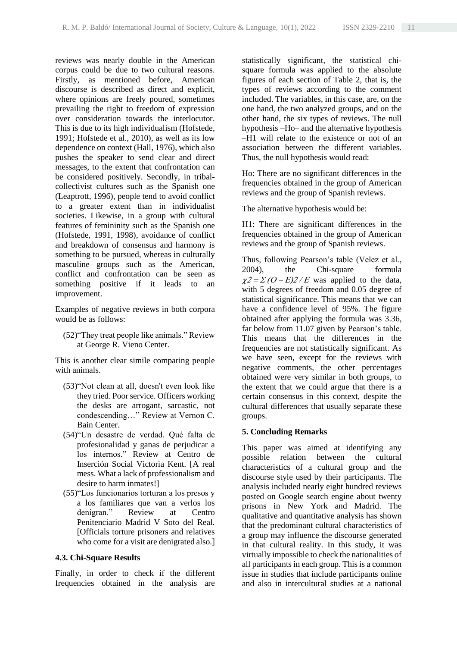reviews was nearly double in the American corpus could be due to two cultural reasons. Firstly, as mentioned before, American discourse is described as direct and explicit, where opinions are freely poured, sometimes prevailing the right to freedom of expression over consideration towards the interlocutor. This is due to its high individualism (Hofstede, 1991; Hofstede et al., 2010), as well as its low dependence on context (Hall, 1976), which also pushes the speaker to send clear and direct messages, to the extent that confrontation can be considered positively. Secondly, in tribalcollectivist cultures such as the Spanish one (Leaptrott, 1996), people tend to avoid conflict to a greater extent than in individualist societies. Likewise, in a group with cultural features of femininity such as the Spanish one (Hofstede, 1991, 1998), avoidance of conflict and breakdown of consensus and harmony is something to be pursued, whereas in culturally masculine groups such as the American, conflict and confrontation can be seen as something positive if it leads to an improvement.

Examples of negative reviews in both corpora would be as follows:

(52)"They treat people like animals." Review at George R. Vieno Center.

This is another clear simile comparing people with animals.

- (53)"Not clean at all, doesn't even look like they tried. Poor service. Officers working the desks are arrogant, sarcastic, not condescending…" Review at Vernon C. Bain Center.
- (54)"Un desastre de verdad. Qué falta de profesionalidad y ganas de perjudicar a los internos." Review at Centro de Inserción Social Victoria Kent. [A real mess. What a lack of professionalism and desire to harm inmates!]
- (55)"Los funcionarios torturan a los presos y a los familiares que van a verlos los denigran." Review at Centro Penitenciario Madrid V Soto del Real. [Officials torture prisoners and relatives who come for a visit are denigrated also.]

## **4.3. Chi-Square Results**

Finally, in order to check if the different frequencies obtained in the analysis are

statistically significant, the statistical chisquare formula was applied to the absolute figures of each section of Table 2, that is, the types of reviews according to the comment included. The variables, in this case, are, on the one hand, the two analyzed groups, and on the other hand, the six types of reviews. The null hypothesis –Ho– and the alternative hypothesis –H1 will relate to the existence or not of an association between the different variables. Thus, the null hypothesis would read:

Ho: There are no significant differences in the frequencies obtained in the group of American reviews and the group of Spanish reviews.

The alternative hypothesis would be:

H1: There are significant differences in the frequencies obtained in the group of American reviews and the group of Spanish reviews.

Thus, following Pearson's table (Velez et al., 2004), the Chi-square formula  $\chi^2 = \Sigma (O - E)2/E$  was applied to the data, with 5 degrees of freedom and 0.05 degree of statistical significance. This means that we can have a confidence level of 95%. The figure obtained after applying the formula was 3.36, far below from 11.07 given by Pearson's table. This means that the differences in the frequencies are not statistically significant. As we have seen, except for the reviews with negative comments, the other percentages obtained were very similar in both groups, to the extent that we could argue that there is a certain consensus in this context, despite the cultural differences that usually separate these groups.

## **5. Concluding Remarks**

This paper was aimed at identifying any possible relation between the cultural characteristics of a cultural group and the discourse style used by their participants. The analysis included nearly eight hundred reviews posted on Google search engine about twenty prisons in New York and Madrid. The qualitative and quantitative analysis has shown that the predominant cultural characteristics of a group may influence the discourse generated in that cultural reality. In this study, it was virtually impossible to check the nationalities of all participants in each group. This is a common issue in studies that include participants online and also in intercultural studies at a national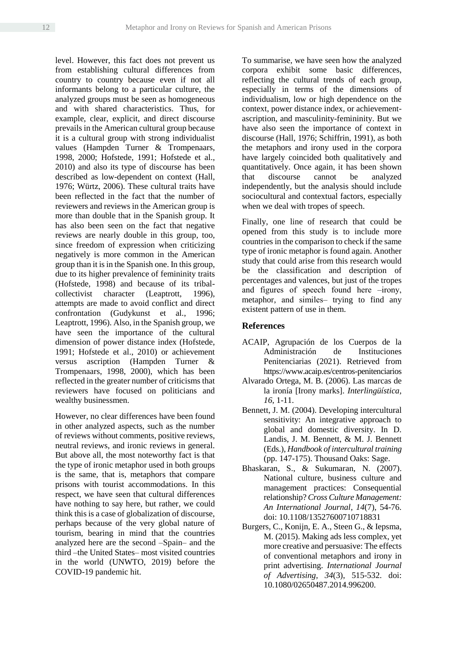level. However, this fact does not prevent us from establishing cultural differences from country to country because even if not all informants belong to a particular culture, the analyzed groups must be seen as homogeneous and with shared characteristics. Thus, for example, clear, explicit, and direct discourse prevails in the American cultural group because it is a cultural group with strong individualist values (Hampden Turner & Trompenaars, 1998, 2000; Hofstede, 1991; Hofstede et al., 2010) and also its type of discourse has been described as low-dependent on context (Hall, 1976; Würtz, 2006). These cultural traits have been reflected in the fact that the number of reviewers and reviews in the American group is more than double that in the Spanish group. It has also been seen on the fact that negative reviews are nearly double in this group, too, since freedom of expression when criticizing negatively is more common in the American group than it is in the Spanish one. In this group, due to its higher prevalence of femininity traits (Hofstede, 1998) and because of its tribalcollectivist character (Leaptrott, 1996), attempts are made to avoid conflict and direct confrontation (Gudykunst et al., 1996; Leaptrott, 1996). Also, in the Spanish group, we have seen the importance of the cultural dimension of power distance index (Hofstede, 1991; Hofstede et al., 2010) or achievement versus ascription (Hampden Turner & Trompenaars, 1998, 2000), which has been reflected in the greater number of criticisms that reviewers have focused on politicians and wealthy businessmen.

However, no clear differences have been found in other analyzed aspects, such as the number of reviews without comments, positive reviews, neutral reviews, and ironic reviews in general. But above all, the most noteworthy fact is that the type of ironic metaphor used in both groups is the same, that is, metaphors that compare prisons with tourist accommodations. In this respect, we have seen that cultural differences have nothing to say here, but rather, we could think this is a case of globalization of discourse, perhaps because of the very global nature of tourism, bearing in mind that the countries analyzed here are the second -Spain- and the third -the United States- most visited countries in the world (UNWTO, 2019) before the COVID-19 pandemic hit.

To summarise, we have seen how the analyzed corpora exhibit some basic differences, reflecting the cultural trends of each group, especially in terms of the dimensions of individualism, low or high dependence on the context, power distance index, or achievementascription, and masculinity-femininity. But we have also seen the importance of context in discourse (Hall, 1976; Schiffrin, 1991), as both the metaphors and irony used in the corpora have largely coincided both qualitatively and quantitatively. Once again, it has been shown that discourse cannot be analyzed independently, but the analysis should include sociocultural and contextual factors, especially when we deal with tropes of speech.

Finally, one line of research that could be opened from this study is to include more countries in the comparison to check if the same type of ironic metaphor is found again. Another study that could arise from this research would be the classification and description of percentages and valences, but just of the tropes and figures of speech found here  $-$ irony, metaphor, and similes— trying to find any existent pattern of use in them.

#### **References**

- ACAIP, Agrupación de los Cuerpos de la Administración de Instituciones Penitenciarias (2021). Retrieved from https://www.acaip.es/centros-penitenciarios
- Alvarado Ortega, M. B. (2006). Las marcas de la ironía [Irony marks]. *Interlingüística, 16*, 1-11.
- Bennett, J. M. (2004). Developing intercultural sensitivity: An integrative approach to global and domestic diversity. In D. Landis, J. M. Bennett, & M. J. Bennett (Eds.), *Handbook of intercultural training* (pp. 147-175). Thousand Oaks: Sage.
- Bhaskaran, S., & Sukumaran, N. (2007). National culture, business culture and management practices: Consequential relationship? *Cross Culture Management: An International Journal, 14*(7), 54-76. doi: 10.1108/13527600710718831
- Burgers, C., Konijn, E. A., Steen G., & Iepsma, M. (2015). Making ads less complex, yet more creative and persuasive: The effects of conventional metaphors and irony in print advertising. *International Journal of Advertising, 34*(3), 515-532. doi: 10.1080/02650487.2014.996200.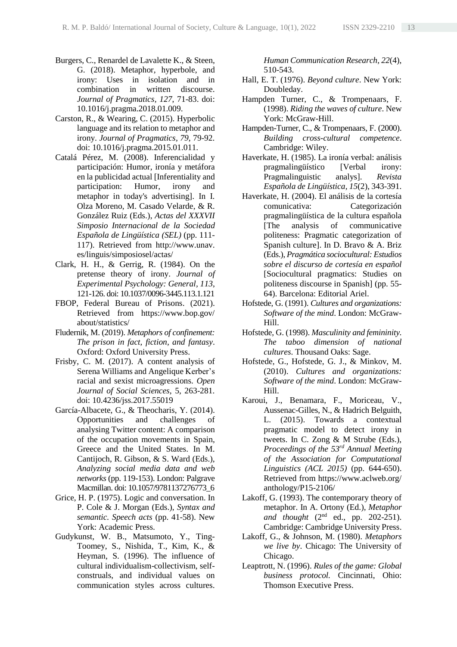- Burgers, C., Renardel de Lavalette K., & Steen, G. (2018). Metaphor, hyperbole, and irony: Uses in isolation and in combination in written discourse. *Journal of Pragmatics, 127*, 71-83. doi: 10.1016/j.pragma.2018.01.009.
- Carston, R., & Wearing, C. (2015). Hyperbolic language and its relation to metaphor and irony. *Journal of Pragmatics, 79*, 79-92. doi: 10.1016/j.pragma.2015.01.011.
- Catalá Pérez, M. (2008). Inferencialidad y participación: Humor, ironía y metáfora en la publicidad actual [Inferentiality and participation: Humor, irony and metaphor in today's advertising]. In I. Olza Moreno, M. Casado Velarde, & R. González Ruiz (Eds.), *Actas del XXXVII Simposio Internacional de la Sociedad Española de Lingüística (SEL)* (pp. 111- 117). Retrieved from http://www.unav. es/linguis/simposiosel/actas/
- Clark, H. H., & Gerrig, R. (1984). On the pretense theory of irony. *Journal of Experimental Psychology: General, 113*, 121-126. doi: 10.1037/0096-3445.113.1.121
- FBOP, Federal Bureau of Prisons. (2021). Retrieved from https://www.bop.gov/ about/statistics/
- Fludernik, M. (2019). *Metaphors of confinement: The prison in fact, fiction, and fantasy*. Oxford: Oxford University Press.
- Frisby, C. M. (2017). A content analysis of Serena Williams and Angelique Kerber's racial and sexist microagressions. *Open Journal of Social Sciences*, 5, 263-281. doi: 10.4236/jss.2017.55019
- García-Albacete, G., & Theocharis, Y. (2014). Opportunities and challenges of analysing Twitter content: A comparison of the occupation movements in Spain, Greece and the United States. In M. Cantijoch, R. Gibson, & S. Ward (Eds.), *Analyzing social media data and web networks* (pp. 119-153). London: Palgrave Macmillan. doi: 10.1057/9781137276773\_6
- Grice, H. P. (1975). Logic and conversation. In P. Cole & J. Morgan (Eds.), *Syntax and semantic. Speech acts* (pp. 41-58). New York: Academic Press.
- Gudykunst, W. B., Matsumoto, Y., Ting-Toomey, S., Nishida, T., Kim, K., & Heyman, S. (1996). The influence of cultural individualism-collectivism, selfconstruals, and individual values on communication styles across cultures.

*Human Communication Research, 22*(4), 510-543.

- Hall, E. T. (1976). *Beyond culture*. New York: Doubleday.
- Hampden Turner, C., & Trompenaars, F. (1998). *Riding the waves of culture*. New York: McGraw-Hill.
- Hampden-Turner, C., & Trompenaars, F. (2000). *Building cross-cultural competence*. Cambridge: Wiley.
- Haverkate, H. (1985). La ironía verbal: análisis pragmalingüístico [Verbal irony: Pragmalinguistic analys]. *Revista Española de Lingüística, 15*(2), 343-391.
- Haverkate, H. (2004). El análisis de la cortesía comunicativa: Categorización pragmalingüística de la cultura española [The analysis of communicative politeness: Pragmatic categorization of Spanish culture]. In D. Bravo & A. Briz (Eds.), *Pragmática sociocultural: Estudios sobre el discurso de cortesía en español* [Sociocultural pragmatics: Studies on politeness discourse in Spanish] (pp. 55- 64). Barcelona: Editorial Ariel.
- Hofstede, G. (1991). *Cultures and organizations: Software of the mind*. London: McGraw-Hill.
- Hofstede, G. (1998). *Masculinity and femininity. The taboo dimension of national cultures*. Thousand Oaks: Sage.
- Hofstede, G., Hofstede, G. J., & Minkov, M. (2010). *Cultures and organizations: Software of the mind*. London: McGraw-Hill.
- Karoui, J., Benamara, F., Moriceau, V., Aussenac-Gilles, N., & Hadrich Belguith, L. (2015). Towards a contextual pragmatic model to detect irony in tweets. In C. Zong & M Strube (Eds.), *Proceedings of the 53rd Annual Meeting of the Association for Computational Linguistics (ACL 2015)* (pp. 644-650). Retrieved from https://www.aclweb.org/ anthology/P15-2106/
- Lakoff, G. (1993). The contemporary theory of metaphor. In A. Ortony (Ed.), *Metaphor*  and thought (2<sup>nd</sup> ed., pp. 202-251). Cambridge: Cambridge University Press.
- Lakoff, G., & Johnson, M. (1980). *Metaphors we live by*. Chicago: The University of Chicago.
- Leaptrott, N. (1996). *Rules of the game: Global business protocol.* Cincinnati, Ohio: Thomson Executive Press.